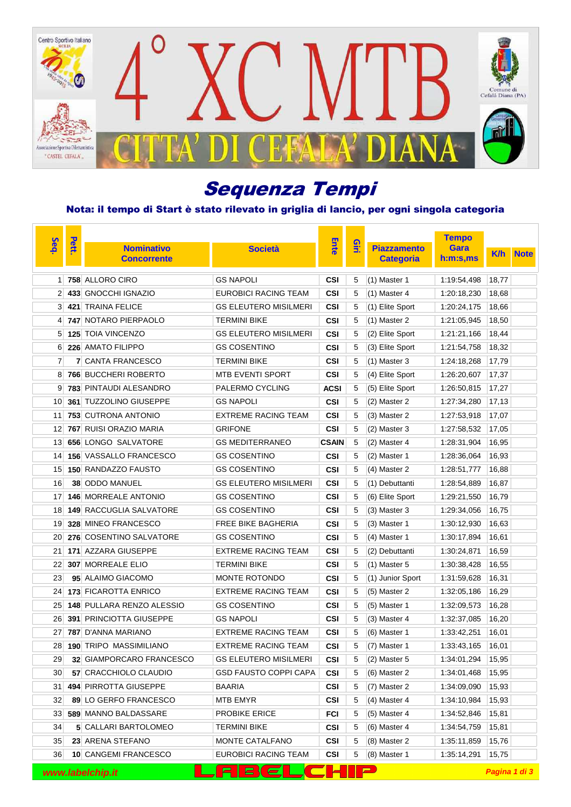

# Sequenza Tempi

### Nota: il tempo di Start è stato rilevato in griglia di lancio, per ogni singola categoria

| Seq.            | Pett. |                                |                              |              |      | <b>Tempo</b>       |             |               |             |
|-----------------|-------|--------------------------------|------------------------------|--------------|------|--------------------|-------------|---------------|-------------|
|                 |       | <b>Nominativo</b>              | <b>Società</b>               | <b>Ente</b>  | Qiri | <b>Piazzamento</b> | Gara        | <b>K/h</b>    | <b>Note</b> |
|                 |       | <b>Concorrente</b>             |                              |              |      | <b>Categoria</b>   | h:m:s.ms    |               |             |
| 1               |       | 758 ALLORO CIRO                | <b>GS NAPOLI</b>             | CSI          | 5    | $(1)$ Master 1     | 1:19:54,498 | 18,77         |             |
| $\overline{2}$  |       | 433 GNOCCHI IGNAZIO            | <b>EUROBICI RACING TEAM</b>  | CSI          | 5    | $(1)$ Master 4     | 1:20:18,230 | 18,68         |             |
| 3               |       | 421 TRAINA FELICE              | <b>GS ELEUTERO MISILMERI</b> | CSI          | 5    | (1) Elite Sport    | 1:20:24,175 | 18,66         |             |
| 4               |       | 747 NOTARO PIERPAOLO           | <b>TERMINI BIKE</b>          | CSI          | 5    | $(1)$ Master 2     | 1:21:05,945 | 18,50         |             |
| 5               |       | <b>125 TOIA VINCENZO</b>       | <b>GS ELEUTERO MISILMERI</b> | CSI          | 5    | (2) Elite Sport    | 1:21:21,166 | 18,44         |             |
| 6               |       | 226 AMATO FILIPPO              | <b>GS COSENTINO</b>          | CSI          | 5    | (3) Elite Sport    | 1:21:54,758 | 18,32         |             |
| 7               |       | 7 CANTA FRANCESCO              | TERMINI BIKE                 | CSI          | 5    | $(1)$ Master 3     | 1:24:18,268 | 17,79         |             |
| 8               |       | <b>766 BUCCHERI ROBERTO</b>    | <b>MTB EVENTI SPORT</b>      | CSI          | 5    | (4) Elite Sport    | 1:26:20,607 | 17,37         |             |
| 9               |       | <b>783 PINTAUDI ALESANDRO</b>  | PALERMO CYCLING              | <b>ACSI</b>  | 5    | (5) Elite Sport    | 1:26:50,815 | 17,27         |             |
| 10              |       | 361 TUZZOLINO GIUSEPPE         | <b>GS NAPOLI</b>             | <b>CSI</b>   | 5    | (2) Master 2       | 1:27:34,280 | 17,13         |             |
| 11              |       | <b>753 CUTRONA ANTONIO</b>     | <b>EXTREME RACING TEAM</b>   | CSI          | 5    | (3) Master 2       | 1:27:53,918 | 17,07         |             |
| 12              |       | <b>767 RUISI ORAZIO MARIA</b>  | <b>GRIFONE</b>               | CSI          | 5    | (2) Master 3       | 1:27:58,532 | 17,05         |             |
| 13              |       | 656 LONGO SALVATORE            | <b>GS MEDITERRANEO</b>       | <b>CSAIN</b> | 5    | (2) Master 4       | 1:28:31,904 | 16,95         |             |
| 14              |       | <b>156 VASSALLO FRANCESCO</b>  | <b>GS COSENTINO</b>          | CSI          | 5    | (2) Master 1       | 1:28:36,064 | 16,93         |             |
| 15 <sup>1</sup> |       | <b>150 RANDAZZO FAUSTO</b>     | <b>GS COSENTINO</b>          | CSI          | 5    | (4) Master 2       | 1:28:51,777 | 16,88         |             |
| 16              |       | 38 ODDO MANUEL                 | <b>GS ELEUTERO MISILMERI</b> | CSI          | 5    | (1) Debuttanti     | 1:28:54,889 | 16,87         |             |
| 17              |       | <b>146 MORREALE ANTONIO</b>    | <b>GS COSENTINO</b>          | CSI          | 5    | (6) Elite Sport    | 1:29:21,550 | 16,79         |             |
| 18              |       | <b>149 RACCUGLIA SALVATORE</b> | <b>GS COSENTINO</b>          | CSI          | 5    | $(3)$ Master 3     | 1:29:34,056 | 16,75         |             |
| 19              |       | 328 MINEO FRANCESCO            | FREE BIKE BAGHERIA           | CSI          | 5    | $(3)$ Master 1     | 1:30:12,930 | 16,63         |             |
| 20              |       | 276 COSENTINO SALVATORE        | <b>GS COSENTINO</b>          | CSI          | 5    | (4) Master 1       | 1:30:17,894 | 16,61         |             |
| 21              |       | 171 AZZARA GIUSEPPE            | <b>EXTREME RACING TEAM</b>   | CSI          | 5    | (2) Debuttanti     | 1:30:24,871 | 16,59         |             |
| 22              |       | <b>307 MORREALE ELIO</b>       | <b>TERMINI BIKE</b>          | CSI          | 5    | $(1)$ Master 5     | 1:30:38,428 | 16,55         |             |
| 23              |       | 95 ALAIMO GIACOMO              | MONTE ROTONDO                | CSI          | 5    | (1) Junior Sport   | 1:31:59,628 | 16,31         |             |
| 24              |       | 173 FICAROTTA ENRICO           | <b>EXTREME RACING TEAM</b>   | CSI          | 5    | (5) Master 2       | 1:32:05,186 | 16,29         |             |
| 25              |       | 148 PULLARA RENZO ALESSIO      | <b>GS COSENTINO</b>          | CSI          | 5    | $(5)$ Master 1     | 1:32:09.573 | 16,28         |             |
| 26              |       | <b>391 PRINCIOTTA GIUSEPPE</b> | <b>GS NAPOLI</b>             | <b>CSI</b>   | 5    | (3) Master 4       | 1:32:37,085 | 16,20         |             |
| 27              |       | 787 D'ANNA MARIANO             | <b>EXTREME RACING TEAM</b>   | CSI          | 5    | (6) Master 1       | 1:33:42,251 | 16,01         |             |
| 28              |       | <b>190 TRIPO MASSIMILIANO</b>  | <b>EXTREME RACING TEAM</b>   | <b>CSI</b>   | 5    | (7) Master 1       | 1:33:43,165 | 16,01         |             |
| 29              |       | 32 GIAMPORCARO FRANCESCO       | <b>GS ELEUTERO MISILMERI</b> | <b>CSI</b>   | 5    | $(2)$ Master 5     | 1:34:01,294 | 15,95         |             |
| 30              |       | 57 CRACCHIOLO CLAUDIO          | <b>GSD FAUSTO COPPI CAPA</b> | <b>CSI</b>   | 5    | (6) Master 2       | 1:34:01,468 | 15,95         |             |
| 31              |       | 494 PIRROTTA GIUSEPPE          | BAARIA                       | CSI          | 5    | $(7)$ Master 2     | 1:34:09,090 | 15,93         |             |
| 32              |       | 89 LO GERFO FRANCESCO          | MTB EMYR                     | <b>CSI</b>   | 5    | (4) Master 4       | 1:34:10,984 | 15,93         |             |
| 33              |       | 589 MANNO BALDASSARE           | PROBIKE ERICE                | FCI          | 5    | (5) Master 4       | 1:34:52,846 | 15,81         |             |
| 34              |       | <b>5 CALLARI BARTOLOMEO</b>    | <b>TERMINI BIKE</b>          | CSI          | 5    | (6) Master 4       | 1:34:54,759 | 15,81         |             |
| 35              |       | 23 ARENA STEFANO               | MONTE CATALFANO              | <b>CSI</b>   | 5    | $(8)$ Master 2     | 1:35:11,859 | 15,76         |             |
| 36              |       | 10 CANGEMI FRANCESCO           | <b>EUROBICI RACING TEAM</b>  | CSI          | 5    | $(8)$ Master 1     | 1:35:14,291 | 15,75         |             |
|                 |       | www.labelchip.it               |                              |              |      |                    |             | Pagina 1 di 3 |             |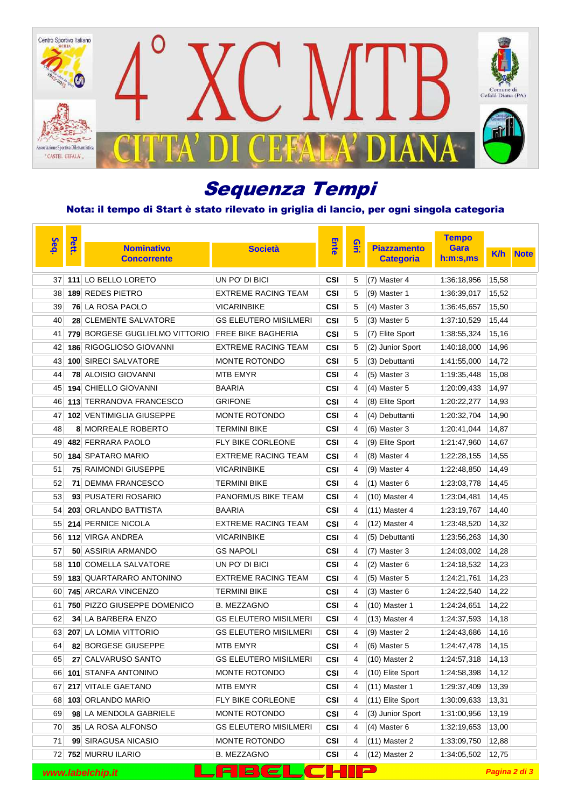

# Sequenza Tempi

### Nota: il tempo di Start è stato rilevato in griglia di lancio, per ogni singola categoria

| Seq. | Pett. | <b>Nominativo</b><br><b>Concorrente</b> | <b>Società</b>               | Ente       | $\frac{2}{2}$ | <b>Piazzamento</b><br><b>Categoria</b> | <b>Tempo</b><br>Gara<br>h:m:s,ms | <b>K/h</b>    | <b>Note</b> |
|------|-------|-----------------------------------------|------------------------------|------------|---------------|----------------------------------------|----------------------------------|---------------|-------------|
| 37   |       | 111 LO BELLO LORETO                     | UN PO' DI BICI               | CSI        | 5             | (7) Master 4                           | 1:36:18,956                      | 15,58         |             |
| 38   |       | 189 REDES PIETRO                        | <b>EXTREME RACING TEAM</b>   | CSI        | 5             | $(9)$ Master 1                         | 1:36:39,017                      | 15,52         |             |
| 39   |       | <b>76 LA ROSA PAOLO</b>                 | <b>VICARINBIKE</b>           | CSI        | 5             | $(4)$ Master 3                         | 1:36:45,657                      | 15,50         |             |
| 40   |       | 28 CLEMENTE SALVATORE                   | <b>GS ELEUTERO MISILMERI</b> | CSI        | 5             | $(3)$ Master 5                         | 1:37:10,529                      | 15,44         |             |
| 41   |       | <b>779 BORGESE GUGLIELMO VITTORIO</b>   | <b>FREE BIKE BAGHERIA</b>    | CSI        | 5             | (7) Elite Sport                        | 1:38:55,324                      | 15.16         |             |
| 42   |       | <b>186 RIGOGLIOSO GIOVANNI</b>          | <b>EXTREME RACING TEAM</b>   | CSI        | 5             | (2) Junior Sport                       | 1:40:18,000                      | 14,96         |             |
| 43   |       | 100 SIRECI SALVATORE                    | <b>MONTE ROTONDO</b>         | CSI        | 5             | (3) Debuttanti                         | 1:41:55,000                      | 14,72         |             |
| 44   |       | <b>78 ALOISIO GIOVANNI</b>              | <b>MTB EMYR</b>              | CSI        | 4             | $(5)$ Master 3                         | 1:19:35,448                      | 15,08         |             |
| 45   |       | <b>194 CHIELLO GIOVANNI</b>             | <b>BAARIA</b>                | CSI        | 4             | $(4)$ Master 5                         | 1:20:09,433                      | 14,97         |             |
| 46   |       | <b>113 TERRANOVA FRANCESCO</b>          | <b>GRIFONE</b>               | CSI        | 4             | (8) Elite Sport                        | 1:20:22,277                      | 14,93         |             |
| 47   |       | <b>102 VENTIMIGLIA GIUSEPPE</b>         | MONTE ROTONDO                | CSI        | 4             | (4) Debuttanti                         | 1:20:32,704                      | 14,90         |             |
| 48   |       | <b>8 MORREALE ROBERTO</b>               | <b>TERMINI BIKE</b>          | CSI        | 4             | (6) Master 3                           | 1:20:41,044                      | 14,87         |             |
| 49   |       | 482 FERRARA PAOLO                       | FLY BIKE CORLEONE            | CSI        | 4             | (9) Elite Sport                        | 1:21:47,960                      | 14,67         |             |
| 50   |       | <b>184 SPATARO MARIO</b>                | <b>EXTREME RACING TEAM</b>   | CSI        | 4             | (8) Master 4                           | 1:22:28,155                      | 14,55         |             |
| 51   |       | <b>75 RAIMONDI GIUSEPPE</b>             | <b>VICARINBIKE</b>           | CSI        | 4             | $(9)$ Master 4                         | 1:22:48,850                      | 14,49         |             |
| 52   | 71    | <b>DEMMA FRANCESCO</b>                  | <b>TERMINI BIKE</b>          | CSI        | 4             | $(1)$ Master 6                         | 1:23:03,778                      | 14,45         |             |
| 53   |       | 93 PUSATERI ROSARIO                     | <b>PANORMUS BIKE TEAM</b>    | CSI        | 4             | $(10)$ Master 4                        | 1:23:04,481                      | 14,45         |             |
| 54   |       | <b>203 ORLANDO BATTISTA</b>             | <b>BAARIA</b>                | CSI        | 4             | $(11)$ Master 4                        | 1:23:19,767                      | 14,40         |             |
| 55   |       | 214 PERNICE NICOLA                      | <b>EXTREME RACING TEAM</b>   | CSI        | 4             | $(12)$ Master 4                        | 1:23:48,520                      | 14,32         |             |
| 56   |       | 112 VIRGA ANDREA                        | <b>VICARINBIKE</b>           | <b>CSI</b> | 4             | (5) Debuttanti                         | 1:23:56,263                      | 14,30         |             |
| 57   |       | 50 ASSIRIA ARMANDO                      | <b>GS NAPOLI</b>             | CSI        | 4             | (7) Master 3                           | 1:24:03,002                      | 14,28         |             |
| 58   |       | <b>110 COMELLA SALVATORE</b>            | UN PO' DI BICI               | CSI        | 4             | $(2)$ Master 6                         | 1:24:18,532                      | 14,23         |             |
| 59   |       | <b>183 QUARTARARO ANTONINO</b>          | <b>EXTREME RACING TEAM</b>   | CSI        | 4             | $(5)$ Master 5                         | 1:24:21,761                      | 14,23         |             |
| 60   |       | 745 ARCARA VINCENZO                     | <b>TERMINI BIKE</b>          | CSI        | 4             | $(3)$ Master 6                         | 1:24:22,540                      | 14,22         |             |
| 61   |       | 750 PIZZO GIUSEPPE DOMENICO             | <b>B. MEZZAGNO</b>           | CSI        | 4             | (10) Master 1                          | 1:24:24,651                      | 14,22         |             |
| 62   |       | 34 LA BARBERA ENZO                      | <b>GS ELEUTERO MISILMERI</b> | CSI        | 4             | $(13)$ Master 4                        | 1:24:37,593                      | 14,18         |             |
| 63   |       | <b>207 LA LOMIA VITTORIO</b>            | <b>GS ELEUTERO MISILMERI</b> | CSI        | 4             | (9) Master 2                           | 1:24:43,686                      | 14,16         |             |
| 64   |       | 82 BORGESE GIUSEPPE                     | MTB EMYR                     | <b>CSI</b> | 4             | (6) Master 5                           | 1:24:47,478                      | 14,15         |             |
| 65   |       | 27 CALVARUSO SANTO                      | <b>GS ELEUTERO MISILMERI</b> | CSI        | 4             | $(10)$ Master 2                        | 1:24:57,318                      | 14,13         |             |
| 66   |       | 101 STANFA ANTONINO                     | MONTE ROTONDO                | CSI        | 4             | (10) Elite Sport                       | 1:24:58,398                      | 14,12         |             |
|      |       | 67 217 VITALE GAETANO                   | MTB EMYR                     | CSI        | 4             | $(11)$ Master 1                        | 1:29:37,409                      | 13,39         |             |
| 68   |       | 103 ORLANDO MARIO                       | FLY BIKE CORLEONE            | CSI        | 4             | (11) Elite Sport                       | 1:30:09,633                      | 13,31         |             |
| 69   |       | 98 LA MENDOLA GABRIELE                  | MONTE ROTONDO                | CSI        | 4             | (3) Junior Sport                       | 1:31:00,956                      | 13,19         |             |
| 70   |       | 35 LA ROSA ALFONSO                      | <b>GS ELEUTERO MISILMERI</b> | CSI        | 4             | (4) Master 6                           | 1:32:19,653                      | 13,00         |             |
| 71   |       | 99 SIRAGUSA NICASIO                     | MONTE ROTONDO                | CSI        | 4             | $(11)$ Master 2                        | 1:33:09,750                      | 12,88         |             |
|      |       | 72 752 MURRU ILARIO                     | <b>B. MEZZAGNO</b>           | CSI        | 4             | $(12)$ Master 2                        | 1:34:05,502                      | 12,75         |             |
|      |       | www.labelchip.it                        | E.                           |            |               |                                        |                                  | Pagina 2 di 3 |             |